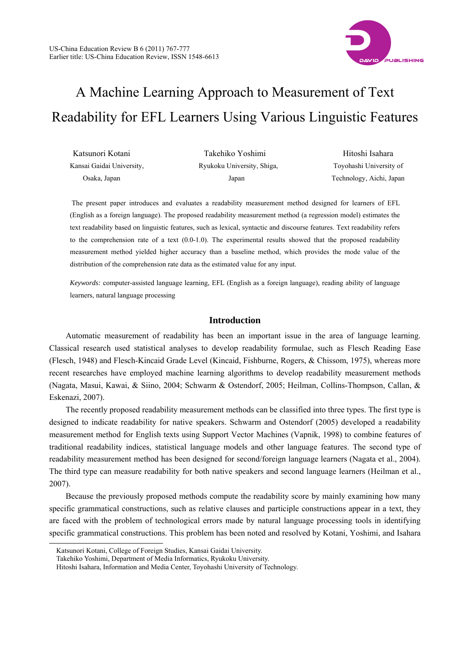

# A Machine Learning Approach to Measurement of Text Readability for EFL Learners Using Various Linguistic Features

| Katsunori Kotani          | Takehiko Yoshimi           | Hitoshi Isahara          |
|---------------------------|----------------------------|--------------------------|
| Kansai Gaidai University. | Ryukoku University, Shiga, | Toyohashi University of  |
| Osaka, Japan              | Japan                      | Technology, Aichi, Japan |

The present paper introduces and evaluates a readability measurement method designed for learners of EFL (English as a foreign language). The proposed readability measurement method (a regression model) estimates the text readability based on linguistic features, such as lexical, syntactic and discourse features. Text readability refers to the comprehension rate of a text (0.0-1.0). The experimental results showed that the proposed readability measurement method yielded higher accuracy than a baseline method, which provides the mode value of the distribution of the comprehension rate data as the estimated value for any input.

*Keywords:* computer-assisted language learning, EFL (English as a foreign language), reading ability of language learners, natural language processing

# **Introduction**

Automatic measurement of readability has been an important issue in the area of language learning. Classical research used statistical analyses to develop readability formulae, such as Flesch Reading Ease (Flesch, 1948) and Flesch-Kincaid Grade Level (Kincaid, Fishburne, Rogers, & Chissom, 1975), whereas more recent researches have employed machine learning algorithms to develop readability measurement methods (Nagata, Masui, Kawai, & Siino, 2004; Schwarm & Ostendorf, 2005; Heilman, Collins-Thompson, Callan, & Eskenazi, 2007).

The recently proposed readability measurement methods can be classified into three types. The first type is designed to indicate readability for native speakers. Schwarm and Ostendorf (2005) developed a readability measurement method for English texts using Support Vector Machines (Vapnik, 1998) to combine features of traditional readability indices, statistical language models and other language features. The second type of readability measurement method has been designed for second/foreign language learners (Nagata et al., 2004). The third type can measure readability for both native speakers and second language learners (Heilman et al., 2007).

Because the previously proposed methods compute the readability score by mainly examining how many specific grammatical constructions, such as relative clauses and participle constructions appear in a text, they are faced with the problem of technological errors made by natural language processing tools in identifying specific grammatical constructions. This problem has been noted and resolved by Kotani, Yoshimi, and Isahara

 $\overline{a}$ 

Katsunori Kotani, College of Foreign Studies, Kansai Gaidai University.

Takehiko Yoshimi, Department of Media Informatics, Ryukoku University.

Hitoshi Isahara, Information and Media Center, Toyohashi University of Technology.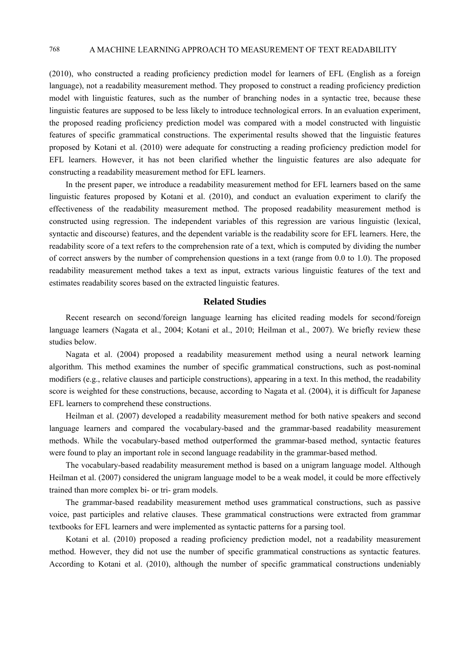(2010), who constructed a reading proficiency prediction model for learners of EFL (English as a foreign language), not a readability measurement method. They proposed to construct a reading proficiency prediction model with linguistic features, such as the number of branching nodes in a syntactic tree, because these linguistic features are supposed to be less likely to introduce technological errors. In an evaluation experiment, the proposed reading proficiency prediction model was compared with a model constructed with linguistic features of specific grammatical constructions. The experimental results showed that the linguistic features proposed by Kotani et al. (2010) were adequate for constructing a reading proficiency prediction model for EFL learners. However, it has not been clarified whether the linguistic features are also adequate for constructing a readability measurement method for EFL learners.

In the present paper, we introduce a readability measurement method for EFL learners based on the same linguistic features proposed by Kotani et al. (2010), and conduct an evaluation experiment to clarify the effectiveness of the readability measurement method. The proposed readability measurement method is constructed using regression. The independent variables of this regression are various linguistic (lexical, syntactic and discourse) features, and the dependent variable is the readability score for EFL learners. Here, the readability score of a text refers to the comprehension rate of a text, which is computed by dividing the number of correct answers by the number of comprehension questions in a text (range from 0.0 to 1.0). The proposed readability measurement method takes a text as input, extracts various linguistic features of the text and estimates readability scores based on the extracted linguistic features.

## **Related Studies**

Recent research on second/foreign language learning has elicited reading models for second/foreign language learners (Nagata et al., 2004; Kotani et al., 2010; Heilman et al., 2007). We briefly review these studies below.

Nagata et al. (2004) proposed a readability measurement method using a neural network learning algorithm. This method examines the number of specific grammatical constructions, such as post-nominal modifiers (e.g., relative clauses and participle constructions), appearing in a text. In this method, the readability score is weighted for these constructions, because, according to Nagata et al. (2004), it is difficult for Japanese EFL learners to comprehend these constructions.

Heilman et al. (2007) developed a readability measurement method for both native speakers and second language learners and compared the vocabulary-based and the grammar-based readability measurement methods. While the vocabulary-based method outperformed the grammar-based method, syntactic features were found to play an important role in second language readability in the grammar-based method.

The vocabulary-based readability measurement method is based on a unigram language model. Although Heilman et al. (2007) considered the unigram language model to be a weak model, it could be more effectively trained than more complex bi- or tri- gram models.

The grammar-based readability measurement method uses grammatical constructions, such as passive voice, past participles and relative clauses. These grammatical constructions were extracted from grammar textbooks for EFL learners and were implemented as syntactic patterns for a parsing tool.

Kotani et al. (2010) proposed a reading proficiency prediction model, not a readability measurement method. However, they did not use the number of specific grammatical constructions as syntactic features. According to Kotani et al. (2010), although the number of specific grammatical constructions undeniably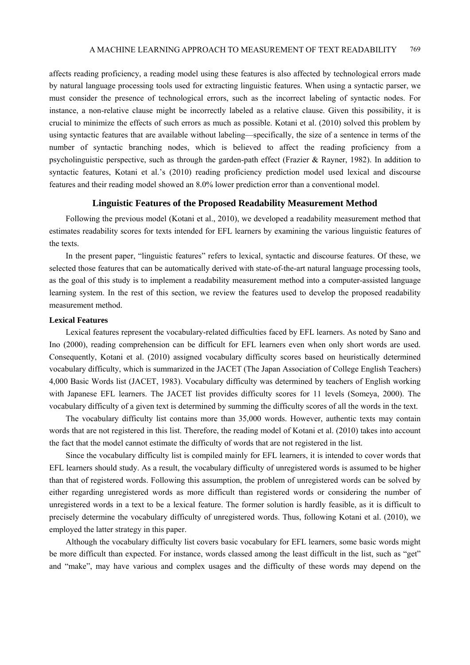affects reading proficiency, a reading model using these features is also affected by technological errors made by natural language processing tools used for extracting linguistic features. When using a syntactic parser, we must consider the presence of technological errors, such as the incorrect labeling of syntactic nodes. For instance, a non-relative clause might be incorrectly labeled as a relative clause. Given this possibility, it is crucial to minimize the effects of such errors as much as possible. Kotani et al. (2010) solved this problem by using syntactic features that are available without labeling—specifically, the size of a sentence in terms of the number of syntactic branching nodes, which is believed to affect the reading proficiency from a psycholinguistic perspective, such as through the garden-path effect (Frazier & Rayner, 1982). In addition to syntactic features, Kotani et al.'s (2010) reading proficiency prediction model used lexical and discourse features and their reading model showed an 8.0% lower prediction error than a conventional model.

# **Linguistic Features of the Proposed Readability Measurement Method**

Following the previous model (Kotani et al., 2010), we developed a readability measurement method that estimates readability scores for texts intended for EFL learners by examining the various linguistic features of the texts.

In the present paper, "linguistic features" refers to lexical, syntactic and discourse features. Of these, we selected those features that can be automatically derived with state-of-the-art natural language processing tools, as the goal of this study is to implement a readability measurement method into a computer-assisted language learning system. In the rest of this section, we review the features used to develop the proposed readability measurement method.

### **Lexical Features**

Lexical features represent the vocabulary-related difficulties faced by EFL learners. As noted by Sano and Ino (2000), reading comprehension can be difficult for EFL learners even when only short words are used. Consequently, Kotani et al. (2010) assigned vocabulary difficulty scores based on heuristically determined vocabulary difficulty, which is summarized in the JACET (The Japan Association of College English Teachers) 4,000 Basic Words list (JACET, 1983). Vocabulary difficulty was determined by teachers of English working with Japanese EFL learners. The JACET list provides difficulty scores for 11 levels (Someya, 2000). The vocabulary difficulty of a given text is determined by summing the difficulty scores of all the words in the text.

The vocabulary difficulty list contains more than 35,000 words. However, authentic texts may contain words that are not registered in this list. Therefore, the reading model of Kotani et al. (2010) takes into account the fact that the model cannot estimate the difficulty of words that are not registered in the list.

Since the vocabulary difficulty list is compiled mainly for EFL learners, it is intended to cover words that EFL learners should study. As a result, the vocabulary difficulty of unregistered words is assumed to be higher than that of registered words. Following this assumption, the problem of unregistered words can be solved by either regarding unregistered words as more difficult than registered words or considering the number of unregistered words in a text to be a lexical feature. The former solution is hardly feasible, as it is difficult to precisely determine the vocabulary difficulty of unregistered words. Thus, following Kotani et al. (2010), we employed the latter strategy in this paper.

Although the vocabulary difficulty list covers basic vocabulary for EFL learners, some basic words might be more difficult than expected. For instance, words classed among the least difficult in the list, such as "get" and "make", may have various and complex usages and the difficulty of these words may depend on the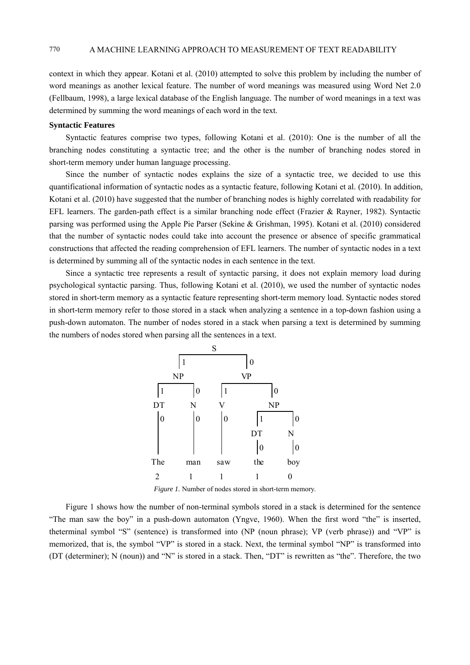context in which they appear. Kotani et al. (2010) attempted to solve this problem by including the number of word meanings as another lexical feature. The number of word meanings was measured using Word Net 2.0 (Fellbaum, 1998), a large lexical database of the English language. The number of word meanings in a text was determined by summing the word meanings of each word in the text.

#### **Syntactic Features**

Syntactic features comprise two types, following Kotani et al. (2010): One is the number of all the branching nodes constituting a syntactic tree; and the other is the number of branching nodes stored in short-term memory under human language processing.

Since the number of syntactic nodes explains the size of a syntactic tree, we decided to use this quantificational information of syntactic nodes as a syntactic feature, following Kotani et al. (2010). In addition, Kotani et al. (2010) have suggested that the number of branching nodes is highly correlated with readability for EFL learners. The garden-path effect is a similar branching node effect (Frazier & Rayner, 1982). Syntactic parsing was performed using the Apple Pie Parser (Sekine & Grishman, 1995). Kotani et al. (2010) considered that the number of syntactic nodes could take into account the presence or absence of specific grammatical constructions that affected the reading comprehension of EFL learners. The number of syntactic nodes in a text is determined by summing all of the syntactic nodes in each sentence in the text.

Since a syntactic tree represents a result of syntactic parsing, it does not explain memory load during psychological syntactic parsing. Thus, following Kotani et al. (2010), we used the number of syntactic nodes stored in short-term memory as a syntactic feature representing short-term memory load. Syntactic nodes stored in short-term memory refer to those stored in a stack when analyzing a sentence in a top-down fashion using a push-down automaton. The number of nodes stored in a stack when parsing a text is determined by summing the numbers of nodes stored when parsing all the sentences in a text.



*Figure 1.* Number of nodes stored in short-term memory.

Figure 1 shows how the number of non-terminal symbols stored in a stack is determined for the sentence "The man saw the boy" in a push-down automaton (Yngve, 1960). When the first word "the" is inserted, theterminal symbol "S" (sentence) is transformed into (NP (noun phrase); VP (verb phrase)) and "VP" is memorized, that is, the symbol "VP" is stored in a stack. Next, the terminal symbol "NP" is transformed into (DT (determiner); N (noun)) and "N" is stored in a stack. Then, "DT" is rewritten as "the". Therefore, the two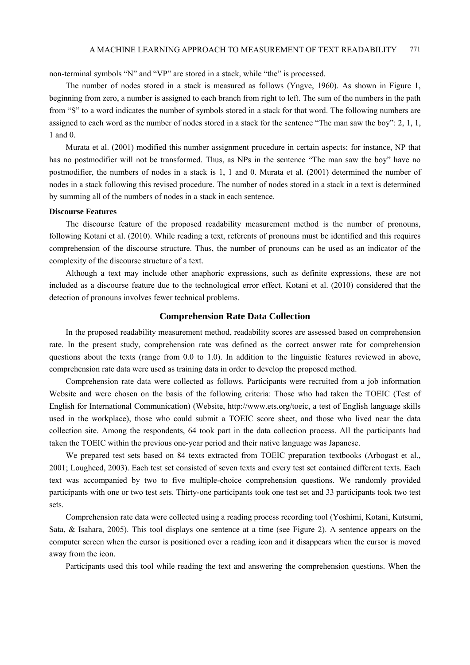non-terminal symbols "N" and "VP" are stored in a stack, while "the" is processed.

The number of nodes stored in a stack is measured as follows (Yngve, 1960). As shown in Figure 1, beginning from zero, a number is assigned to each branch from right to left. The sum of the numbers in the path from "S" to a word indicates the number of symbols stored in a stack for that word. The following numbers are assigned to each word as the number of nodes stored in a stack for the sentence "The man saw the boy": 2, 1, 1, 1 and 0.

Murata et al. (2001) modified this number assignment procedure in certain aspects; for instance, NP that has no postmodifier will not be transformed. Thus, as NPs in the sentence "The man saw the boy" have no postmodifier, the numbers of nodes in a stack is 1, 1 and 0. Murata et al. (2001) determined the number of nodes in a stack following this revised procedure. The number of nodes stored in a stack in a text is determined by summing all of the numbers of nodes in a stack in each sentence.

#### **Discourse Features**

The discourse feature of the proposed readability measurement method is the number of pronouns, following Kotani et al. (2010). While reading a text, referents of pronouns must be identified and this requires comprehension of the discourse structure. Thus, the number of pronouns can be used as an indicator of the complexity of the discourse structure of a text.

Although a text may include other anaphoric expressions, such as definite expressions, these are not included as a discourse feature due to the technological error effect. Kotani et al. (2010) considered that the detection of pronouns involves fewer technical problems.

#### **Comprehension Rate Data Collection**

In the proposed readability measurement method, readability scores are assessed based on comprehension rate. In the present study, comprehension rate was defined as the correct answer rate for comprehension questions about the texts (range from 0.0 to 1.0). In addition to the linguistic features reviewed in above, comprehension rate data were used as training data in order to develop the proposed method.

Comprehension rate data were collected as follows. Participants were recruited from a job information Website and were chosen on the basis of the following criteria: Those who had taken the TOEIC (Test of English for International Communication) (Website, http://www.ets.org/toeic, a test of English language skills used in the workplace), those who could submit a TOEIC score sheet, and those who lived near the data collection site. Among the respondents, 64 took part in the data collection process. All the participants had taken the TOEIC within the previous one-year period and their native language was Japanese.

We prepared test sets based on 84 texts extracted from TOEIC preparation textbooks (Arbogast et al., 2001; Lougheed, 2003). Each test set consisted of seven texts and every test set contained different texts. Each text was accompanied by two to five multiple-choice comprehension questions. We randomly provided participants with one or two test sets. Thirty-one participants took one test set and 33 participants took two test sets.

Comprehension rate data were collected using a reading process recording tool (Yoshimi, Kotani, Kutsumi, Sata, & Isahara, 2005). This tool displays one sentence at a time (see Figure 2). A sentence appears on the computer screen when the cursor is positioned over a reading icon and it disappears when the cursor is moved away from the icon.

Participants used this tool while reading the text and answering the comprehension questions. When the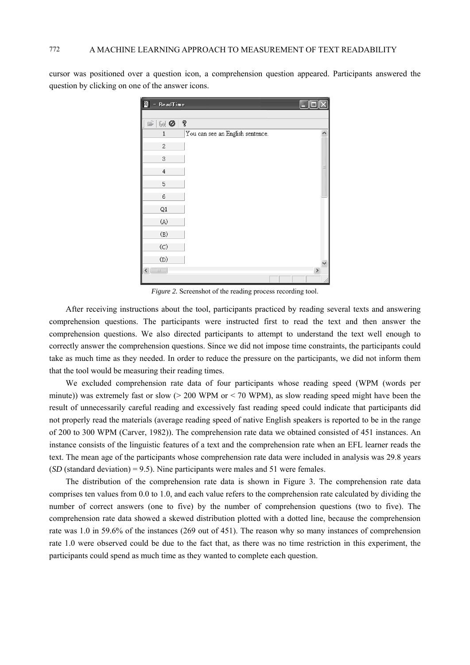cursor was positioned over a question icon, a comprehension question appeared. Participants answered the question by clicking on one of the answer icons.

| é<br>ReadTime                                                   |                                  |      |
|-----------------------------------------------------------------|----------------------------------|------|
|                                                                 |                                  |      |
| ļ<br>$\mathbb{R} \mid \mathbb{G} \cup \mathbf{Q}$<br>$  \nabla$ |                                  |      |
| $1\,$                                                           | You can see an English sentence. |      |
| 2                                                               |                                  |      |
| 3                                                               |                                  |      |
| $\,4\,$                                                         |                                  |      |
| 5                                                               |                                  |      |
| 6                                                               |                                  |      |
| Q1                                                              |                                  |      |
| (A)                                                             |                                  |      |
| (B)                                                             |                                  |      |
| $\left(\mathrm{C}\right)$                                       |                                  |      |
| (D)                                                             |                                  |      |
| I<br>$\left\langle \right\rangle$<br>$\cdot$ 00 $\cdot$         |                                  | $\,$ |
|                                                                 |                                  |      |

*Figure 2.* Screenshot of the reading process recording tool.

After receiving instructions about the tool, participants practiced by reading several texts and answering comprehension questions. The participants were instructed first to read the text and then answer the comprehension questions. We also directed participants to attempt to understand the text well enough to correctly answer the comprehension questions. Since we did not impose time constraints, the participants could take as much time as they needed. In order to reduce the pressure on the participants, we did not inform them that the tool would be measuring their reading times.

We excluded comprehension rate data of four participants whose reading speed (WPM (words per minute)) was extremely fast or slow (> 200 WPM or < 70 WPM), as slow reading speed might have been the result of unnecessarily careful reading and excessively fast reading speed could indicate that participants did not properly read the materials (average reading speed of native English speakers is reported to be in the range of 200 to 300 WPM (Carver, 1982)). The comprehension rate data we obtained consisted of 451 instances. An instance consists of the linguistic features of a text and the comprehension rate when an EFL learner reads the text. The mean age of the participants whose comprehension rate data were included in analysis was 29.8 years (*SD* (standard deviation) = 9.5). Nine participants were males and 51 were females.

The distribution of the comprehension rate data is shown in Figure 3. The comprehension rate data comprises ten values from 0.0 to 1.0, and each value refers to the comprehension rate calculated by dividing the number of correct answers (one to five) by the number of comprehension questions (two to five). The comprehension rate data showed a skewed distribution plotted with a dotted line, because the comprehension rate was 1.0 in 59.6% of the instances (269 out of 451). The reason why so many instances of comprehension rate 1.0 were observed could be due to the fact that, as there was no time restriction in this experiment, the participants could spend as much time as they wanted to complete each question.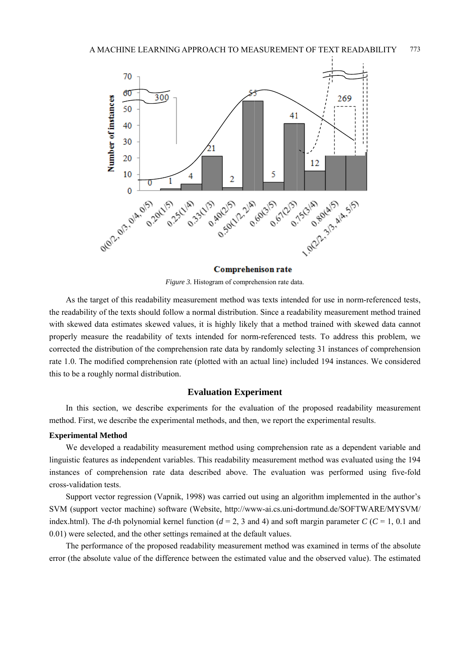

Comprehenison rate

Figure 3. Histogram of comprehension rate data.

As the target of this readability measurement method was texts intended for use in norm-referenced tests. the readability of the texts should follow a normal distribution. Since a readability measurement method trained with skewed data estimates skewed values, it is highly likely that a method trained with skewed data cannot properly measure the readability of texts intended for norm-referenced tests. To address this problem, we corrected the distribution of the comprehension rate data by randomly selecting 31 instances of comprehension rate 1.0. The modified comprehension rate (plotted with an actual line) included 194 instances. We considered this to be a roughly normal distribution.

# **Evaluation Experiment**

In this section, we describe experiments for the evaluation of the proposed readability measurement method. First, we describe the experimental methods, and then, we report the experimental results.

#### **Experimental Method**

We developed a readability measurement method using comprehension rate as a dependent variable and linguistic features as independent variables. This readability measurement method was evaluated using the 194 instances of comprehension rate data described above. The evaluation was performed using five-fold cross-validation tests.

Support vector regression (Vapnik, 1998) was carried out using an algorithm implemented in the author's SVM (support vector machine) software (Website, http://www-ai.cs.uni-dortmund.de/SOFTWARE/MYSVM/ index.html). The d-th polynomial kernel function ( $d = 2$ , 3 and 4) and soft margin parameter C ( $C = 1$ , 0.1 and 0.01) were selected, and the other settings remained at the default values.

The performance of the proposed readability measurement method was examined in terms of the absolute error (the absolute value of the difference between the estimated value and the observed value). The estimated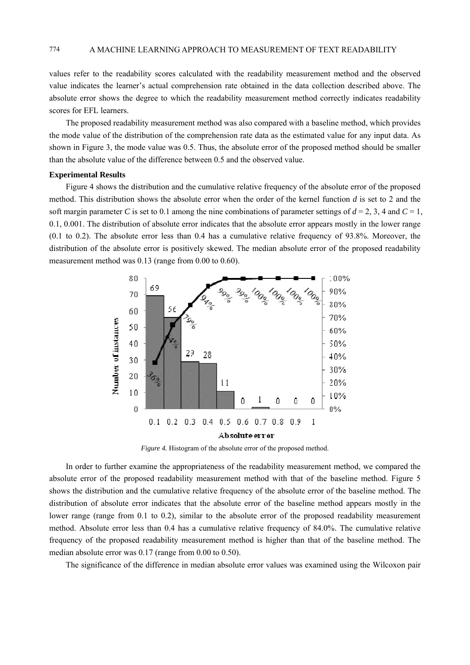values refer to the readability scores calculated with the readability measurement method and the observed value indicates the learner's actual comprehension rate obtained in the data collection described above. The absolute error shows the degree to which the readability measurement method correctly indicates readability scores for EFL learners.

The proposed readability measurement method was also compared with a baseline method, which provides the mode value of the distribution of the comprehension rate data as the estimated value for any input data. As shown in Figure 3, the mode value was 0.5. Thus, the absolute error of the proposed method should be smaller than the absolute value of the difference between 0.5 and the observed value.

#### **Experimental Results**

Figure 4 shows the distribution and the cumulative relative frequency of the absolute error of the proposed method. This distribution shows the absolute error when the order of the kernel function d is set to 2 and the soft margin parameter C is set to 0.1 among the nine combinations of parameter settings of  $d = 2, 3, 4$  and  $C = 1$ , 0.1, 0.001. The distribution of absolute error indicates that the absolute error appears mostly in the lower range  $(0.1 \text{ to } 0.2)$ . The absolute error less than 0.4 has a cumulative relative frequency of 93.8%. Moreover, the distribution of the absolute error is positively skewed. The median absolute error of the proposed readability measurement method was 0.13 (range from 0.00 to 0.60).



Figure 4. Histogram of the absolute error of the proposed method.

In order to further examine the appropriateness of the readability measurement method, we compared the absolute error of the proposed readability measurement method with that of the baseline method. Figure 5 shows the distribution and the cumulative relative frequency of the absolute error of the baseline method. The distribution of absolute error indicates that the absolute error of the baseline method appears mostly in the lower range (range from  $0.1$  to  $0.2$ ), similar to the absolute error of the proposed readability measurement method. Absolute error less than 0.4 has a cumulative relative frequency of 84.0%. The cumulative relative frequency of the proposed readability measurement method is higher than that of the baseline method. The median absolute error was  $0.17$  (range from  $0.00$  to  $0.50$ ).

The significance of the difference in median absolute error values was examined using the Wilcoxon pair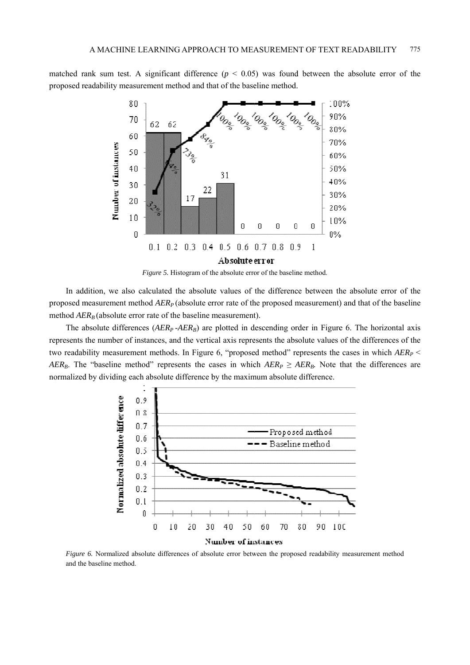matched rank sum test. A significant difference  $(p < 0.05)$  was found between the absolute error of the proposed readability measurement method and that of the baseline method.





In addition, we also calculated the absolute values of the difference between the absolute error of the proposed measurement method  $AER<sub>P</sub>$  (absolute error rate of the proposed measurement) and that of the baseline method  $AER_B$  (absolute error rate of the baseline measurement).

The absolute differences ( $AER_p$ - $AER_B$ ) are plotted in descending order in Figure 6. The horizontal axis represents the number of instances, and the vertical axis represents the absolute values of the differences of the two readability measurement methods. In Figure 6, "proposed method" represents the cases in which  $AER_P \leq$ AER<sub>B</sub>. The "baseline method" represents the cases in which  $AER_{P} \geq AER_{B}$ . Note that the differences are normalized by dividing each absolute difference by the maximum absolute difference.



Figure 6. Normalized absolute differences of absolute error between the proposed readability measurement method and the baseline method.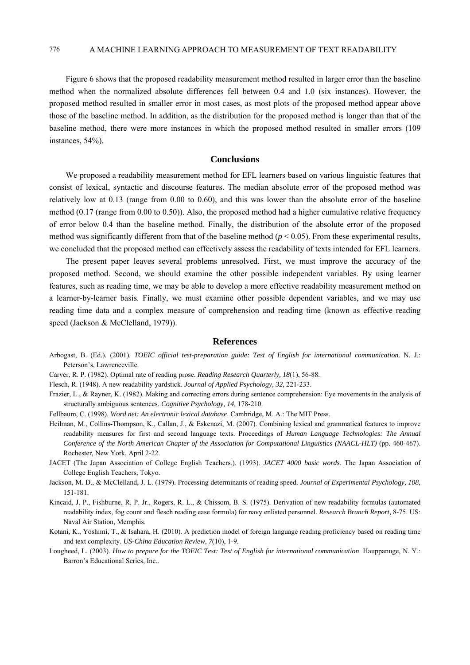Figure 6 shows that the proposed readability measurement method resulted in larger error than the baseline method when the normalized absolute differences fell between 0.4 and 1.0 (six instances). However, the proposed method resulted in smaller error in most cases, as most plots of the proposed method appear above those of the baseline method. In addition, as the distribution for the proposed method is longer than that of the baseline method, there were more instances in which the proposed method resulted in smaller errors (109 instances, 54%).

### **Conclusions**

We proposed a readability measurement method for EFL learners based on various linguistic features that consist of lexical, syntactic and discourse features. The median absolute error of the proposed method was relatively low at 0.13 (range from 0.00 to 0.60), and this was lower than the absolute error of the baseline method (0.17 (range from 0.00 to 0.50)). Also, the proposed method had a higher cumulative relative frequency of error below 0.4 than the baseline method. Finally, the distribution of the absolute error of the proposed method was significantly different from that of the baseline method  $(p < 0.05)$ . From these experimental results, we concluded that the proposed method can effectively assess the readability of texts intended for EFL learners.

The present paper leaves several problems unresolved. First, we must improve the accuracy of the proposed method. Second, we should examine the other possible independent variables. By using learner features, such as reading time, we may be able to develop a more effective readability measurement method on a learner-by-learner basis. Finally, we must examine other possible dependent variables, and we may use reading time data and a complex measure of comprehension and reading time (known as effective reading speed (Jackson & McClelland, 1979)).

#### **References**

- Arbogast, B. (Ed.). (2001). *TOEIC official test-preparation guide: Test of English for international communication*. N. J.: Peterson's, Lawrenceville.
- Carver, R. P. (1982). Optimal rate of reading prose. *Reading Research Quarterly, 18*(1), 56-88.
- Flesch, R. (1948). A new readability yardstick. *Journal of Applied Psychology, 32,* 221-233.
- Frazier, L., & Rayner, K. (1982). Making and correcting errors during sentence comprehension: Eye movements in the analysis of structurally ambiguous sentences. *Cognitive Psychology, 14,* 178-210.
- Fellbaum, C. (1998). *Word net: An electronic lexical database*. Cambridge, M. A.: The MIT Press.
- Heilman, M., Collins-Thompson, K., Callan, J., & Eskenazi, M. (2007). Combining lexical and grammatical features to improve readability measures for first and second language texts. Proceedings of *Human Language Technologies: The Annual Conference of the North American Chapter of the Association for Computational Linguist*ics *(NAACL-HLT)* (pp. 460-467). Rochester, New York, April 2-22.
- JACET (The Japan Association of College English Teachers.). (1993). *JACET 4000 basic words*. The Japan Association of College English Teachers, Tokyo.
- Jackson, M. D., & McClelland, J. L. (1979). Processing determinants of reading speed. *Journal of Experimental Psychology, 108,*  151-181.
- Kincaid, J. P., Fishburne, R. P. Jr., Rogers, R. L., & Chissom, B. S. (1975). Derivation of new readability formulas (automated readability index, fog count and flesch reading ease formula) for navy enlisted personnel. *Research Branch Report,* 8-75. US: Naval Air Station, Memphis.
- Kotani, K., Yoshimi, T., & Isahara, H. (2010). A prediction model of foreign language reading proficiency based on reading time and text complexity. *US-China Education Review, 7*(10), 1-9.
- Lougheed, L. (2003). *How to prepare for the TOEIC Test: Test of English for international communication*. Hauppanuge, N. Y.: Barron's Educational Series, Inc..